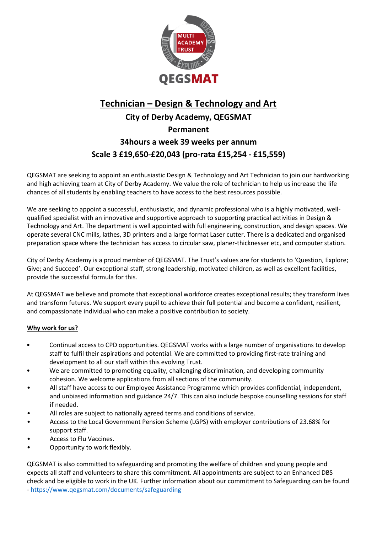

# **Technician – Design & Technology and Art City of Derby Academy, QEGSMAT Permanent 34hours a week 39 weeks per annum Scale 3 £19,650-£20,043 (pro-rata £15,254 - £15,559)**

QEGSMAT are seeking to appoint an enthusiastic Design & Technology and Art Technician to join our hardworking and high achieving team at City of Derby Academy. We value the role of technician to help us increase the life chances of all students by enabling teachers to have access to the best resources possible.

We are seeking to appoint a successful, enthusiastic, and dynamic professional who is a highly motivated, wellqualified specialist with an innovative and supportive approach to supporting practical activities in Design & Technology and Art. The department is well appointed with full engineering, construction, and design spaces. We operate several CNC mills, lathes, 3D printers and a large format Laser cutter. There is a dedicated and organised preparation space where the technician has access to circular saw, planer-thicknesser etc, and computer station.

City of Derby Academy is a proud member of QEGSMAT. The Trust's values are for students to 'Question, Explore; Give; and Succeed'. Our exceptional staff, strong leadership, motivated children, as well as excellent facilities, provide the successful formula for this.

At QEGSMAT we believe and promote that exceptional workforce creates exceptional results; they transform lives and transform futures. We support every pupil to achieve their full potential and become a confident, resilient, and compassionate individual who can make a positive contribution to society.

## **Why work for us?**

- Continual access to CPD opportunities. QEGSMAT works with a large number of organisations to develop staff to fulfil their aspirations and potential. We are committed to providing first-rate training and development to all our staff within this evolving Trust.
- We are committed to promoting equality, challenging discrimination, and developing community cohesion. We welcome applications from all sections of the community.
- All staff have access to our Employee Assistance Programme which provides confidential, independent, and unbiased information and guidance 24/7. This can also include bespoke counselling sessions for staff if needed.
- All roles are subject to nationally agreed terms and conditions of service.
- Access to the Local Government Pension Scheme (LGPS) with employer contributions of 23.68% for support staff.
- Access to Flu Vaccines.
- Opportunity to work flexibly.

QEGSMAT is also committed to safeguarding and promoting the welfare of children and young people and expects all staff and volunteers to share this commitment. All appointments are subject to an Enhanced DBS check and be eligible to work in the UK. Further information about our commitment to Safeguarding can be found - <https://www.qegsmat.com/documents/safeguarding>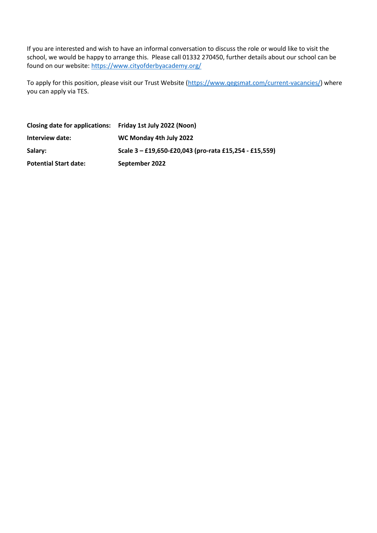If you are interested and wish to have an informal conversation to discuss the role or would like to visit the school, we would be happy to arrange this. Please call 01332 270450, further details about our school can be found on our website:<https://www.cityofderbyacademy.org/>

To apply for this position, please visit our Trust Website [\(https://www.qegsmat.com/current-vacancies/\)](https://www.qegsmat.com/current-vacancies/) where you can apply via TES.

| Closing date for applications: Friday 1st July 2022 (Noon) |                                                        |
|------------------------------------------------------------|--------------------------------------------------------|
| Interview date:                                            | WC Monday 4th July 2022                                |
| Salary:                                                    | Scale 3 - £19,650-£20,043 (pro-rata £15,254 - £15,559) |
| <b>Potential Start date:</b>                               | September 2022                                         |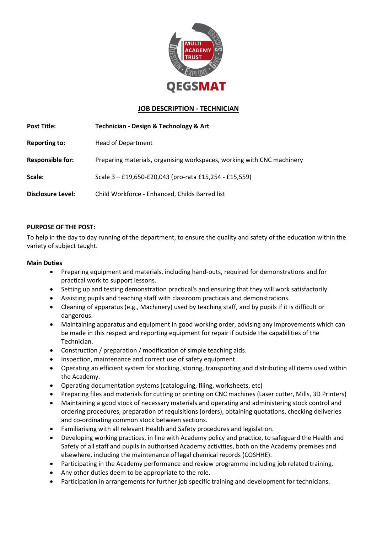

## **JOB DESCRIPTION - TECHNICIAN**

| <b>Post Title:</b>       | Technician - Design & Technology & Art                                 |  |
|--------------------------|------------------------------------------------------------------------|--|
| <b>Reporting to:</b>     | <b>Head of Department</b>                                              |  |
| <b>Responsible for:</b>  | Preparing materials, organising workspaces, working with CNC machinery |  |
| Scale:                   | Scale 3 - £19,650-£20,043 (pro-rata £15,254 - £15,559)                 |  |
| <b>Disclosure Level:</b> | Child Workforce - Enhanced, Childs Barred list                         |  |

#### **PURPOSE OF THE POST:**

To help in the day to day running of the department, to ensure the quality and safety of the education within the variety of subject taught.

#### **Main Duties**

- Preparing equipment and materials, including hand-outs, required for demonstrations and for practical work to support lessons.
- Setting up and testing demonstration practical's and ensuring that they will work satisfactorily.
- Assisting pupils and teaching staff with classroom practicals and demonstrations.
- Cleaning of apparatus (e.g., Machinery) used by teaching staff, and by pupils if it is difficult or dangerous.
- Maintaining apparatus and equipment in good working order, advising any improvements which can be made in this respect and reporting equipment for repair if outside the capabilities of the Technician.
- Construction / preparation / modification of simple teaching aids.
- Inspection, maintenance and correct use of safety equipment.
- Operating an efficient system for stocking, storing, transporting and distributing all items used within the Academy.
- Operating documentation systems (cataloguing, filing, worksheets, etc)
- Preparing files and materials for cutting or printing on CNC machines (Laser cutter, Mills, 3D Printers)
- Maintaining a good stock of necessary materials and operating and administering stock control and ordering procedures, preparation of requisitions (orders), obtaining quotations, checking deliveries and co-ordinating common stock between sections.
- Familiarising with all relevant Health and Safety procedures and legislation.
- Developing working practices, in line with Academy policy and practice, to safeguard the Health and Safety of all staff and pupils in authorised Academy activities, both on the Academy premises and elsewhere, including the maintenance of legal chemical records (COSHHE).
- Participating in the Academy performance and review programme including job related training.
- Any other duties deem to be appropriate to the role.
- Participation in arrangements for further job specific training and development for technicians.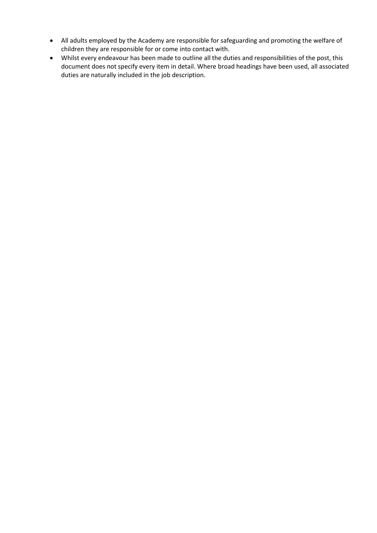- All adults employed by the Academy are responsible for safeguarding and promoting the welfare of children they are responsible for or come into contact with.
- Whilst every endeavour has been made to outline all the duties and responsibilities of the post, this document does not specify every item in detail. Where broad headings have been used, all associated duties are naturally included in the job description.